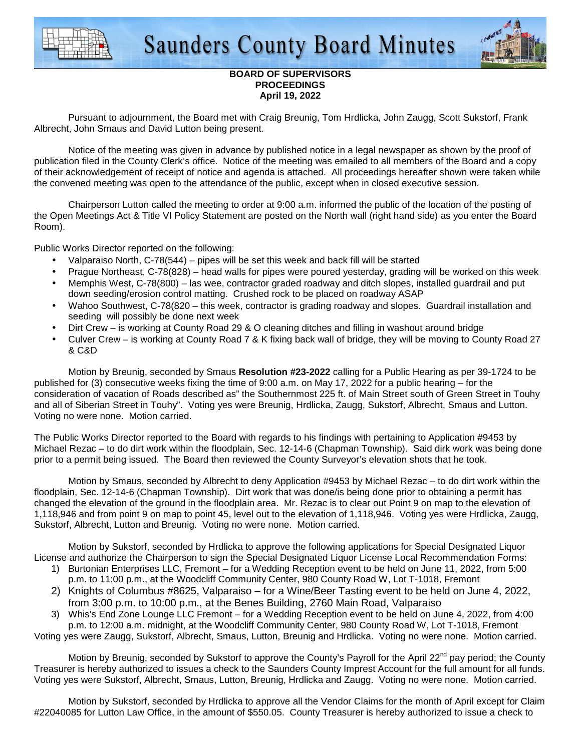



## **BOARD OF SUPERVISORS PROCEEDINGS April 19, 2022**

 Pursuant to adjournment, the Board met with Craig Breunig, Tom Hrdlicka, John Zaugg, Scott Sukstorf, Frank Albrecht, John Smaus and David Lutton being present.

 Notice of the meeting was given in advance by published notice in a legal newspaper as shown by the proof of publication filed in the County Clerk's office. Notice of the meeting was emailed to all members of the Board and a copy of their acknowledgement of receipt of notice and agenda is attached. All proceedings hereafter shown were taken while the convened meeting was open to the attendance of the public, except when in closed executive session.

 Chairperson Lutton called the meeting to order at 9:00 a.m. informed the public of the location of the posting of the Open Meetings Act & Title VI Policy Statement are posted on the North wall (right hand side) as you enter the Board Room).

Public Works Director reported on the following:

- Valparaiso North, C-78(544) pipes will be set this week and back fill will be started
- Prague Northeast, C-78(828) head walls for pipes were poured yesterday, grading will be worked on this week
- Memphis West, C-78(800) las wee, contractor graded roadway and ditch slopes, installed guardrail and put down seeding/erosion control matting. Crushed rock to be placed on roadway ASAP
- Wahoo Southwest, C-78(820 this week, contractor is grading roadway and slopes. Guardrail installation and seeding will possibly be done next week
- Dirt Crew is working at County Road 29 & O cleaning ditches and filling in washout around bridge
- Culver Crew is working at County Road 7 & K fixing back wall of bridge, they will be moving to County Road 27 & C&D

Motion by Breunig, seconded by Smaus **Resolution #23-2022** calling for a Public Hearing as per 39-1724 to be published for (3) consecutive weeks fixing the time of 9:00 a.m. on May 17, 2022 for a public hearing – for the consideration of vacation of Roads described as" the Southernmost 225 ft. of Main Street south of Green Street in Touhy and all of Siberian Street in Touhy". Voting yes were Breunig, Hrdlicka, Zaugg, Sukstorf, Albrecht, Smaus and Lutton. Voting no were none. Motion carried.

The Public Works Director reported to the Board with regards to his findings with pertaining to Application #9453 by Michael Rezac – to do dirt work within the floodplain, Sec. 12-14-6 (Chapman Township). Said dirk work was being done prior to a permit being issued. The Board then reviewed the County Surveyor's elevation shots that he took.

 Motion by Smaus, seconded by Albrecht to deny Application #9453 by Michael Rezac – to do dirt work within the floodplain, Sec. 12-14-6 (Chapman Township). Dirt work that was done/is being done prior to obtaining a permit has changed the elevation of the ground in the floodplain area. Mr. Rezac is to clear out Point 9 on map to the elevation of 1,118,946 and from point 9 on map to point 45, level out to the elevation of 1,118,946. Voting yes were Hrdlicka, Zaugg, Sukstorf, Albrecht, Lutton and Breunig. Voting no were none. Motion carried.

 Motion by Sukstorf, seconded by Hrdlicka to approve the following applications for Special Designated Liquor License and authorize the Chairperson to sign the Special Designated Liquor License Local Recommendation Forms:

- 1) Burtonian Enterprises LLC, Fremont for a Wedding Reception event to be held on June 11, 2022, from 5:00 p.m. to 11:00 p.m., at the Woodcliff Community Center, 980 County Road W, Lot T-1018, Fremont
- 2) Knights of Columbus #8625, Valparaiso for a Wine/Beer Tasting event to be held on June 4, 2022, from 3:00 p.m. to 10:00 p.m., at the Benes Building, 2760 Main Road, Valparaiso
- 3) Whis's End Zone Lounge LLC Fremont for a Wedding Reception event to be held on June 4, 2022, from 4:00 p.m. to 12:00 a.m. midnight, at the Woodcliff Community Center, 980 County Road W, Lot T-1018, Fremont

Voting yes were Zaugg, Sukstorf, Albrecht, Smaus, Lutton, Breunig and Hrdlicka. Voting no were none. Motion carried.

Motion by Breunig, seconded by Sukstorf to approve the County's Payroll for the April 22<sup>nd</sup> pay period; the County Treasurer is hereby authorized to issues a check to the Saunders County Imprest Account for the full amount for all funds. Voting yes were Sukstorf, Albrecht, Smaus, Lutton, Breunig, Hrdlicka and Zaugg. Voting no were none. Motion carried.

 Motion by Sukstorf, seconded by Hrdlicka to approve all the Vendor Claims for the month of April except for Claim #22040085 for Lutton Law Office, in the amount of \$550.05. County Treasurer is hereby authorized to issue a check to